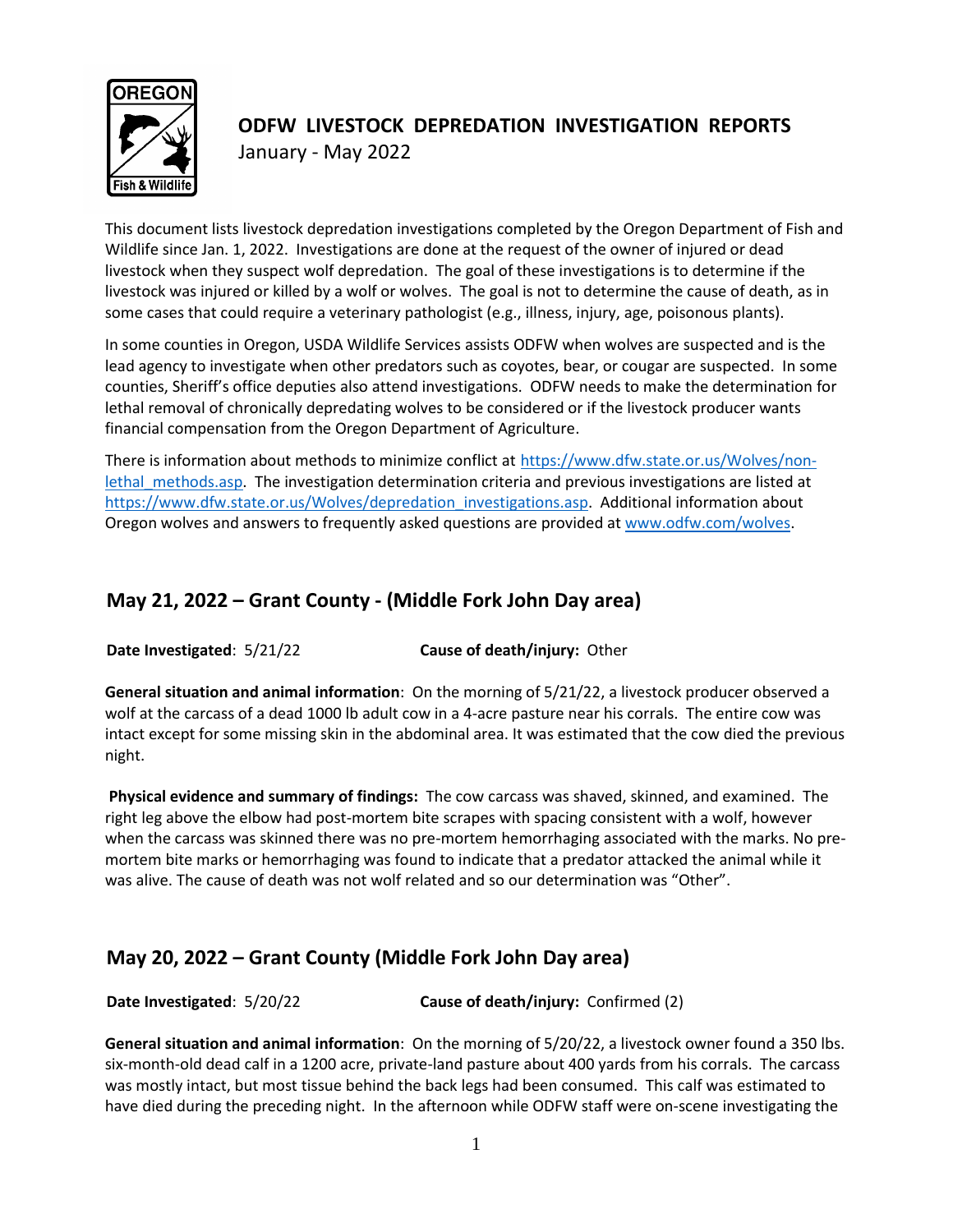

# **ODFW LIVESTOCK DEPREDATION INVESTIGATION REPORTS** January - May 2022

This document lists livestock depredation investigations completed by the Oregon Department of Fish and Wildlife since Jan. 1, 2022. Investigations are done at the request of the owner of injured or dead livestock when they suspect wolf depredation. The goal of these investigations is to determine if the livestock was injured or killed by a wolf or wolves. The goal is not to determine the cause of death, as in some cases that could require a veterinary pathologist (e.g., illness, injury, age, poisonous plants).

In some counties in Oregon, USDA Wildlife Services assists ODFW when wolves are suspected and is the lead agency to investigate when other predators such as coyotes, bear, or cougar are suspected. In some counties, Sheriff's office deputies also attend investigations. ODFW needs to make the determination for lethal removal of chronically depredating wolves to be considered or if the livestock producer wants financial compensation from the Oregon Department of Agriculture.

There is information about methods to minimize conflict at [https://www.dfw.state.or.us/Wolves/non](https://www.dfw.state.or.us/Wolves/non-lethal_methods.asp)lethal methods.asp. The investigation determination criteria and previous investigations are listed at [https://www.dfw.state.or.us/Wolves/depredation\\_investigations.asp.](https://www.dfw.state.or.us/Wolves/depredation_investigations.asp) Additional information about Oregon wolves and answers to frequently asked questions are provided a[t www.odfw.com/wolves.](http://www.odfw.com/wolves)

# **May 21, 2022 – Grant County - (Middle Fork John Day area)**

**Date Investigated**: 5/21/22 **Cause of death/injury:** Other

**General situation and animal information**: On the morning of 5/21/22, a livestock producer observed a wolf at the carcass of a dead 1000 lb adult cow in a 4-acre pasture near his corrals. The entire cow was intact except for some missing skin in the abdominal area. It was estimated that the cow died the previous night.

**Physical evidence and summary of findings:** The cow carcass was shaved, skinned, and examined. The right leg above the elbow had post-mortem bite scrapes with spacing consistent with a wolf, however when the carcass was skinned there was no pre-mortem hemorrhaging associated with the marks. No premortem bite marks or hemorrhaging was found to indicate that a predator attacked the animal while it was alive. The cause of death was not wolf related and so our determination was "Other".

# **May 20, 2022 – Grant County (Middle Fork John Day area)**

**Date Investigated**: 5/20/22 **Cause of death/injury:** Confirmed (2)

**General situation and animal information**: On the morning of 5/20/22, a livestock owner found a 350 lbs. six-month-old dead calf in a 1200 acre, private-land pasture about 400 yards from his corrals. The carcass was mostly intact, but most tissue behind the back legs had been consumed. This calf was estimated to have died during the preceding night. In the afternoon while ODFW staff were on-scene investigating the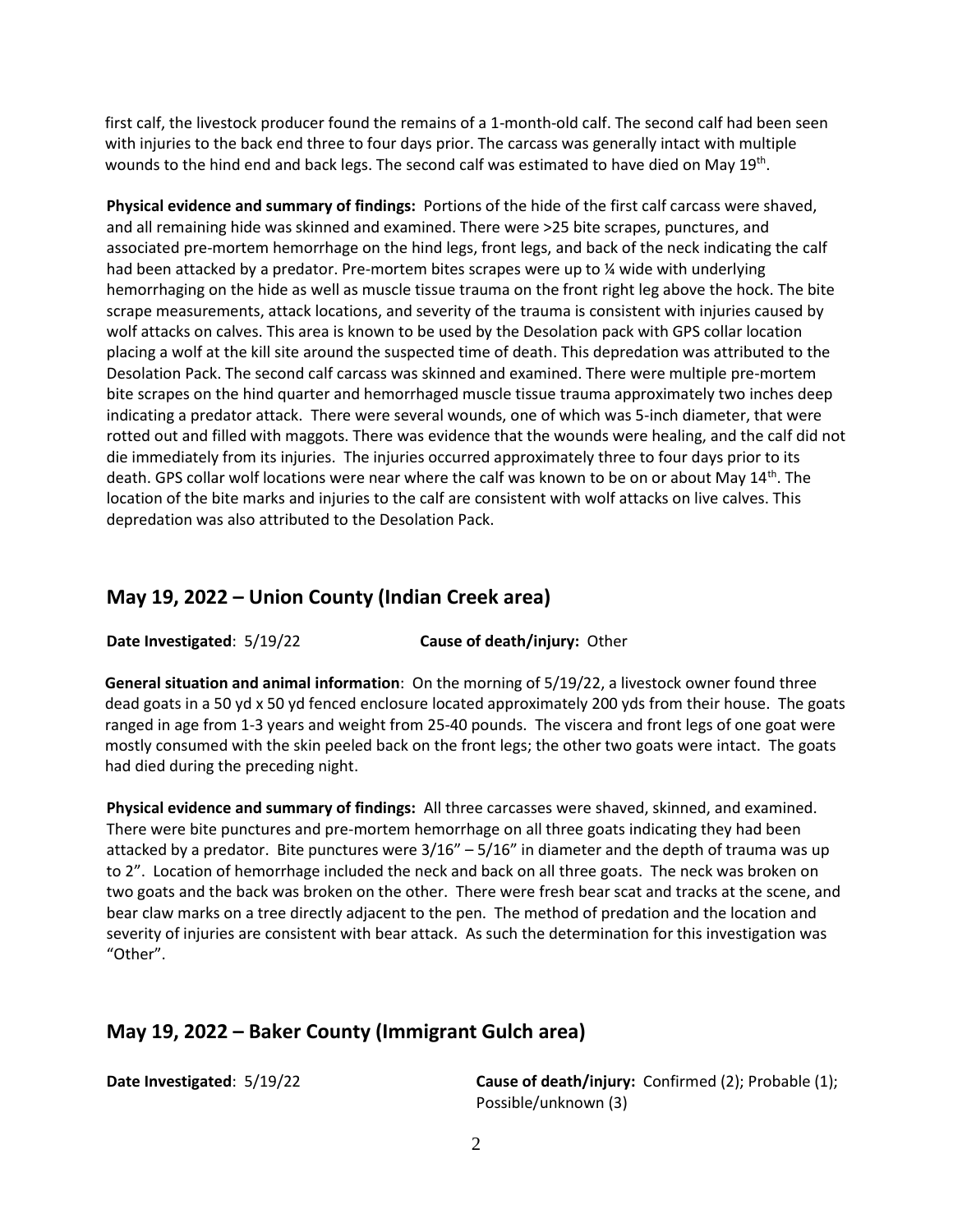first calf, the livestock producer found the remains of a 1-month-old calf. The second calf had been seen with injuries to the back end three to four days prior. The carcass was generally intact with multiple wounds to the hind end and back legs. The second calf was estimated to have died on May 19<sup>th</sup>.

**Physical evidence and summary of findings:** Portions of the hide of the first calf carcass were shaved, and all remaining hide was skinned and examined. There were >25 bite scrapes, punctures, and associated pre-mortem hemorrhage on the hind legs, front legs, and back of the neck indicating the calf had been attacked by a predator. Pre-mortem bites scrapes were up to % wide with underlying hemorrhaging on the hide as well as muscle tissue trauma on the front right leg above the hock. The bite scrape measurements, attack locations, and severity of the trauma is consistent with injuries caused by wolf attacks on calves. This area is known to be used by the Desolation pack with GPS collar location placing a wolf at the kill site around the suspected time of death. This depredation was attributed to the Desolation Pack. The second calf carcass was skinned and examined. There were multiple pre-mortem bite scrapes on the hind quarter and hemorrhaged muscle tissue trauma approximately two inches deep indicating a predator attack. There were several wounds, one of which was 5-inch diameter, that were rotted out and filled with maggots. There was evidence that the wounds were healing, and the calf did not die immediately from its injuries. The injuries occurred approximately three to four days prior to its death. GPS collar wolf locations were near where the calf was known to be on or about May 14<sup>th</sup>. The location of the bite marks and injuries to the calf are consistent with wolf attacks on live calves. This depredation was also attributed to the Desolation Pack.

#### **May 19, 2022 – Union County (Indian Creek area)**

**Date Investigated**: 5/19/22 **Cause of death/injury:** Other

**General situation and animal information**: On the morning of 5/19/22, a livestock owner found three dead goats in a 50 yd x 50 yd fenced enclosure located approximately 200 yds from their house. The goats ranged in age from 1-3 years and weight from 25-40 pounds. The viscera and front legs of one goat were mostly consumed with the skin peeled back on the front legs; the other two goats were intact. The goats had died during the preceding night.

**Physical evidence and summary of findings:** All three carcasses were shaved, skinned, and examined. There were bite punctures and pre-mortem hemorrhage on all three goats indicating they had been attacked by a predator. Bite punctures were  $3/16'' - 5/16''$  in diameter and the depth of trauma was up to 2". Location of hemorrhage included the neck and back on all three goats. The neck was broken on two goats and the back was broken on the other. There were fresh bear scat and tracks at the scene, and bear claw marks on a tree directly adjacent to the pen. The method of predation and the location and severity of injuries are consistent with bear attack. As such the determination for this investigation was "Other".

#### **May 19, 2022 – Baker County (Immigrant Gulch area)**

**Date Investigated:** 5/19/22 **Cause of death/injury:** Confirmed (2); Probable (1); Possible/unknown (3)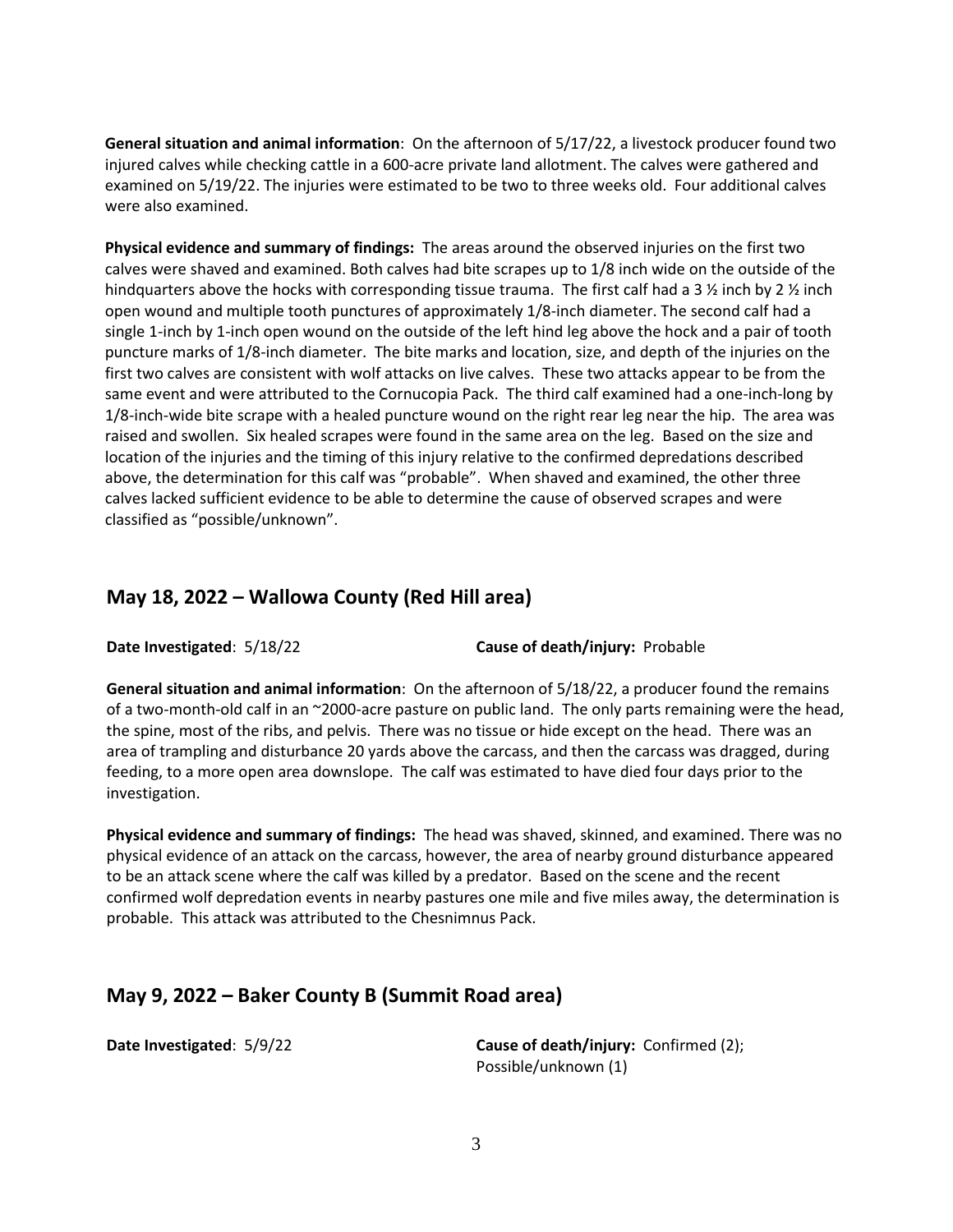**General situation and animal information**: On the afternoon of 5/17/22, a livestock producer found two injured calves while checking cattle in a 600-acre private land allotment. The calves were gathered and examined on 5/19/22. The injuries were estimated to be two to three weeks old. Four additional calves were also examined.

**Physical evidence and summary of findings:** The areas around the observed injuries on the first two calves were shaved and examined. Both calves had bite scrapes up to 1/8 inch wide on the outside of the hindquarters above the hocks with corresponding tissue trauma. The first calf had a 3  $\frac{1}{2}$  inch by 2  $\frac{1}{2}$  inch open wound and multiple tooth punctures of approximately 1/8-inch diameter. The second calf had a single 1-inch by 1-inch open wound on the outside of the left hind leg above the hock and a pair of tooth puncture marks of 1/8-inch diameter. The bite marks and location, size, and depth of the injuries on the first two calves are consistent with wolf attacks on live calves. These two attacks appear to be from the same event and were attributed to the Cornucopia Pack. The third calf examined had a one-inch-long by 1/8-inch-wide bite scrape with a healed puncture wound on the right rear leg near the hip. The area was raised and swollen. Six healed scrapes were found in the same area on the leg. Based on the size and location of the injuries and the timing of this injury relative to the confirmed depredations described above, the determination for this calf was "probable". When shaved and examined, the other three calves lacked sufficient evidence to be able to determine the cause of observed scrapes and were classified as "possible/unknown".

#### **May 18, 2022 – Wallowa County (Red Hill area)**

**Date Investigated**: 5/18/22 **Cause of death/injury:** Probable

**General situation and animal information**: On the afternoon of 5/18/22, a producer found the remains of a two-month-old calf in an ~2000-acre pasture on public land. The only parts remaining were the head, the spine, most of the ribs, and pelvis. There was no tissue or hide except on the head. There was an area of trampling and disturbance 20 yards above the carcass, and then the carcass was dragged, during feeding, to a more open area downslope. The calf was estimated to have died four days prior to the investigation.

**Physical evidence and summary of findings:** The head was shaved, skinned, and examined. There was no physical evidence of an attack on the carcass, however, the area of nearby ground disturbance appeared to be an attack scene where the calf was killed by a predator. Based on the scene and the recent confirmed wolf depredation events in nearby pastures one mile and five miles away, the determination is probable. This attack was attributed to the Chesnimnus Pack.

#### **May 9, 2022 – Baker County B (Summit Road area)**

**Date Investigated:**  $5/9/22$  **Cause of death/injury:** Confirmed (2); Possible/unknown (1)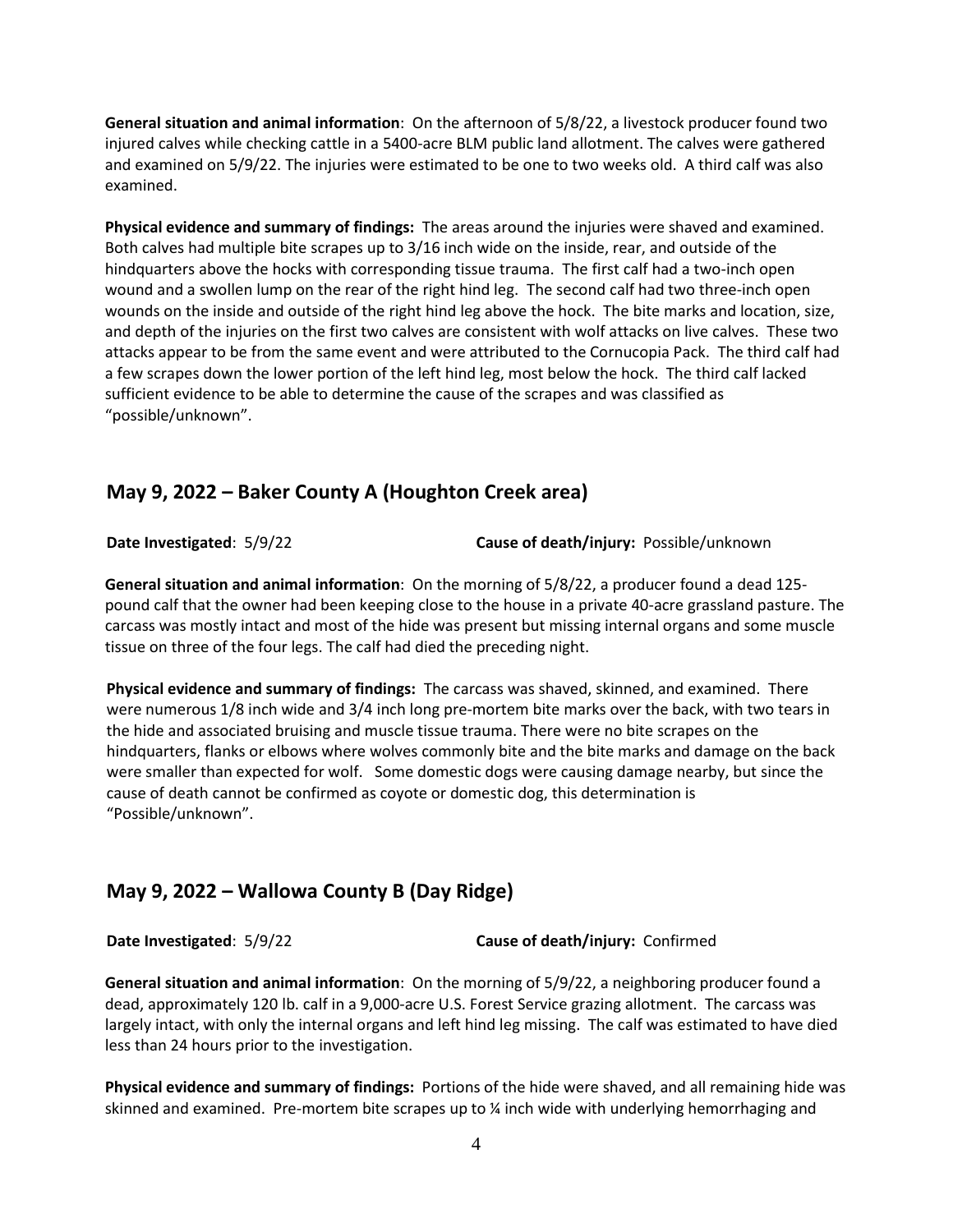**General situation and animal information**: On the afternoon of 5/8/22, a livestock producer found two injured calves while checking cattle in a 5400-acre BLM public land allotment. The calves were gathered and examined on 5/9/22. The injuries were estimated to be one to two weeks old. A third calf was also examined.

**Physical evidence and summary of findings:** The areas around the injuries were shaved and examined. Both calves had multiple bite scrapes up to 3/16 inch wide on the inside, rear, and outside of the hindquarters above the hocks with corresponding tissue trauma. The first calf had a two-inch open wound and a swollen lump on the rear of the right hind leg. The second calf had two three-inch open wounds on the inside and outside of the right hind leg above the hock. The bite marks and location, size, and depth of the injuries on the first two calves are consistent with wolf attacks on live calves. These two attacks appear to be from the same event and were attributed to the Cornucopia Pack. The third calf had a few scrapes down the lower portion of the left hind leg, most below the hock. The third calf lacked sufficient evidence to be able to determine the cause of the scrapes and was classified as "possible/unknown".

#### **May 9, 2022 – Baker County A (Houghton Creek area)**

**Date Investigated: 5/9/22 <b>Cause of death/injury:** Possible/unknown

**General situation and animal information**: On the morning of 5/8/22, a producer found a dead 125 pound calf that the owner had been keeping close to the house in a private 40-acre grassland pasture. The carcass was mostly intact and most of the hide was present but missing internal organs and some muscle tissue on three of the four legs. The calf had died the preceding night.

**Physical evidence and summary of findings:** The carcass was shaved, skinned, and examined. There were numerous 1/8 inch wide and 3/4 inch long pre-mortem bite marks over the back, with two tears in the hide and associated bruising and muscle tissue trauma. There were no bite scrapes on the hindquarters, flanks or elbows where wolves commonly bite and the bite marks and damage on the back were smaller than expected for wolf. Some domestic dogs were causing damage nearby, but since the cause of death cannot be confirmed as coyote or domestic dog, this determination is "Possible/unknown".

## **May 9, 2022 – Wallowa County B (Day Ridge)**

**Date Investigated**: 5/9/22 **Cause of death/injury:** Confirmed

**General situation and animal information**: On the morning of 5/9/22, a neighboring producer found a dead, approximately 120 lb. calf in a 9,000-acre U.S. Forest Service grazing allotment. The carcass was largely intact, with only the internal organs and left hind leg missing. The calf was estimated to have died less than 24 hours prior to the investigation.

**Physical evidence and summary of findings:** Portions of the hide were shaved, and all remaining hide was skinned and examined. Pre-mortem bite scrapes up to ¼ inch wide with underlying hemorrhaging and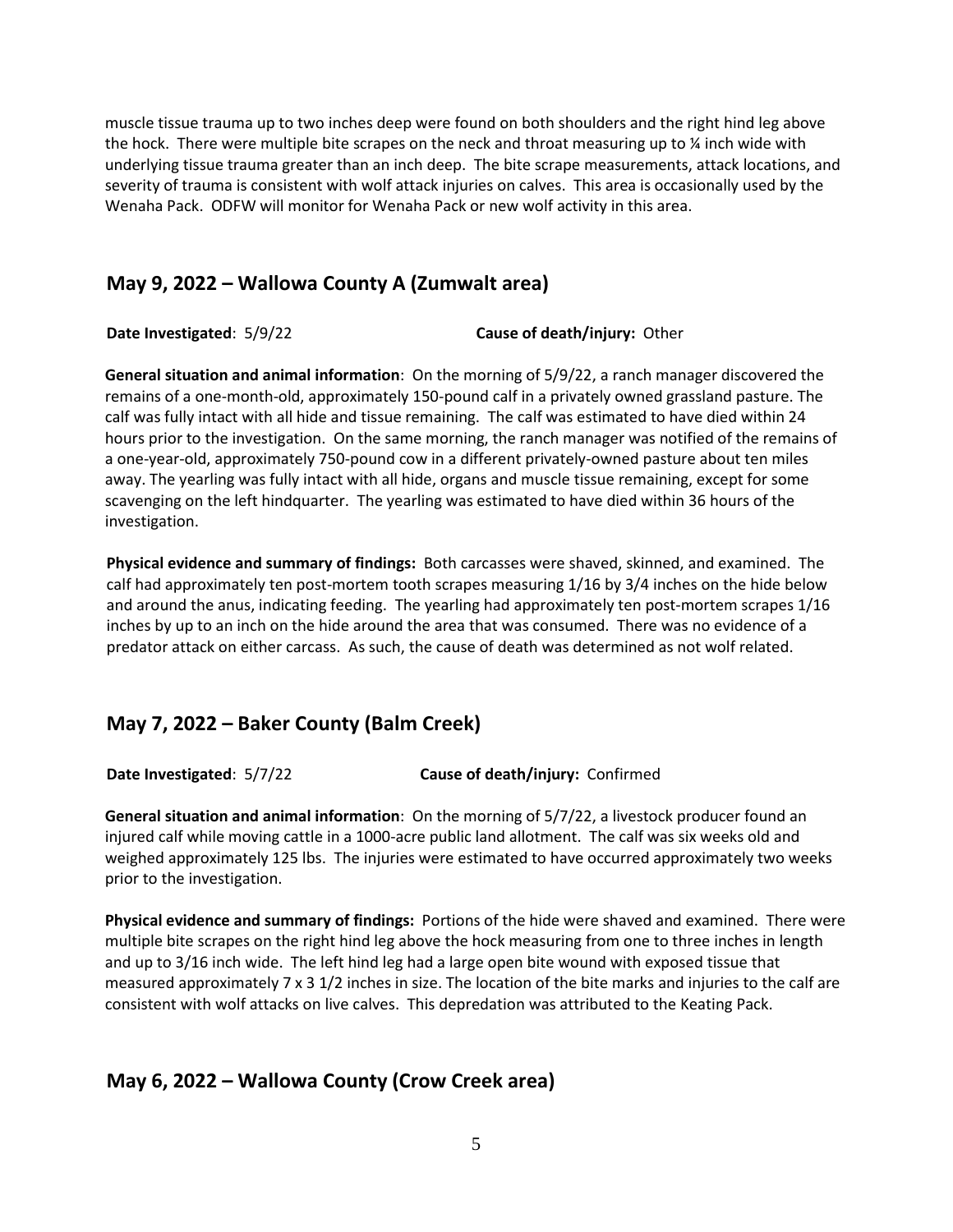muscle tissue trauma up to two inches deep were found on both shoulders and the right hind leg above the hock. There were multiple bite scrapes on the neck and throat measuring up to  $\chi$  inch wide with underlying tissue trauma greater than an inch deep. The bite scrape measurements, attack locations, and severity of trauma is consistent with wolf attack injuries on calves. This area is occasionally used by the Wenaha Pack. ODFW will monitor for Wenaha Pack or new wolf activity in this area.

### **May 9, 2022 – Wallowa County A (Zumwalt area)**

**Date Investigated**: 5/9/22 **Cause of death/injury:** Other

**General situation and animal information**: On the morning of 5/9/22, a ranch manager discovered the remains of a one-month-old, approximately 150-pound calf in a privately owned grassland pasture. The calf was fully intact with all hide and tissue remaining. The calf was estimated to have died within 24 hours prior to the investigation. On the same morning, the ranch manager was notified of the remains of a one-year-old, approximately 750-pound cow in a different privately-owned pasture about ten miles away. The yearling was fully intact with all hide, organs and muscle tissue remaining, except for some scavenging on the left hindquarter. The yearling was estimated to have died within 36 hours of the investigation.

**Physical evidence and summary of findings:** Both carcasses were shaved, skinned, and examined. The calf had approximately ten post-mortem tooth scrapes measuring 1/16 by 3/4 inches on the hide below and around the anus, indicating feeding. The yearling had approximately ten post-mortem scrapes 1/16 inches by up to an inch on the hide around the area that was consumed. There was no evidence of a predator attack on either carcass. As such, the cause of death was determined as not wolf related.

## **May 7, 2022 – Baker County (Balm Creek)**

**Date Investigated**: 5/7/22 **Cause of death/injury:** Confirmed

**General situation and animal information**: On the morning of 5/7/22, a livestock producer found an injured calf while moving cattle in a 1000-acre public land allotment. The calf was six weeks old and weighed approximately 125 lbs. The injuries were estimated to have occurred approximately two weeks prior to the investigation.

**Physical evidence and summary of findings:** Portions of the hide were shaved and examined. There were multiple bite scrapes on the right hind leg above the hock measuring from one to three inches in length and up to 3/16 inch wide. The left hind leg had a large open bite wound with exposed tissue that measured approximately 7 x 3 1/2 inches in size. The location of the bite marks and injuries to the calf are consistent with wolf attacks on live calves. This depredation was attributed to the Keating Pack.

## **May 6, 2022 – Wallowa County (Crow Creek area)**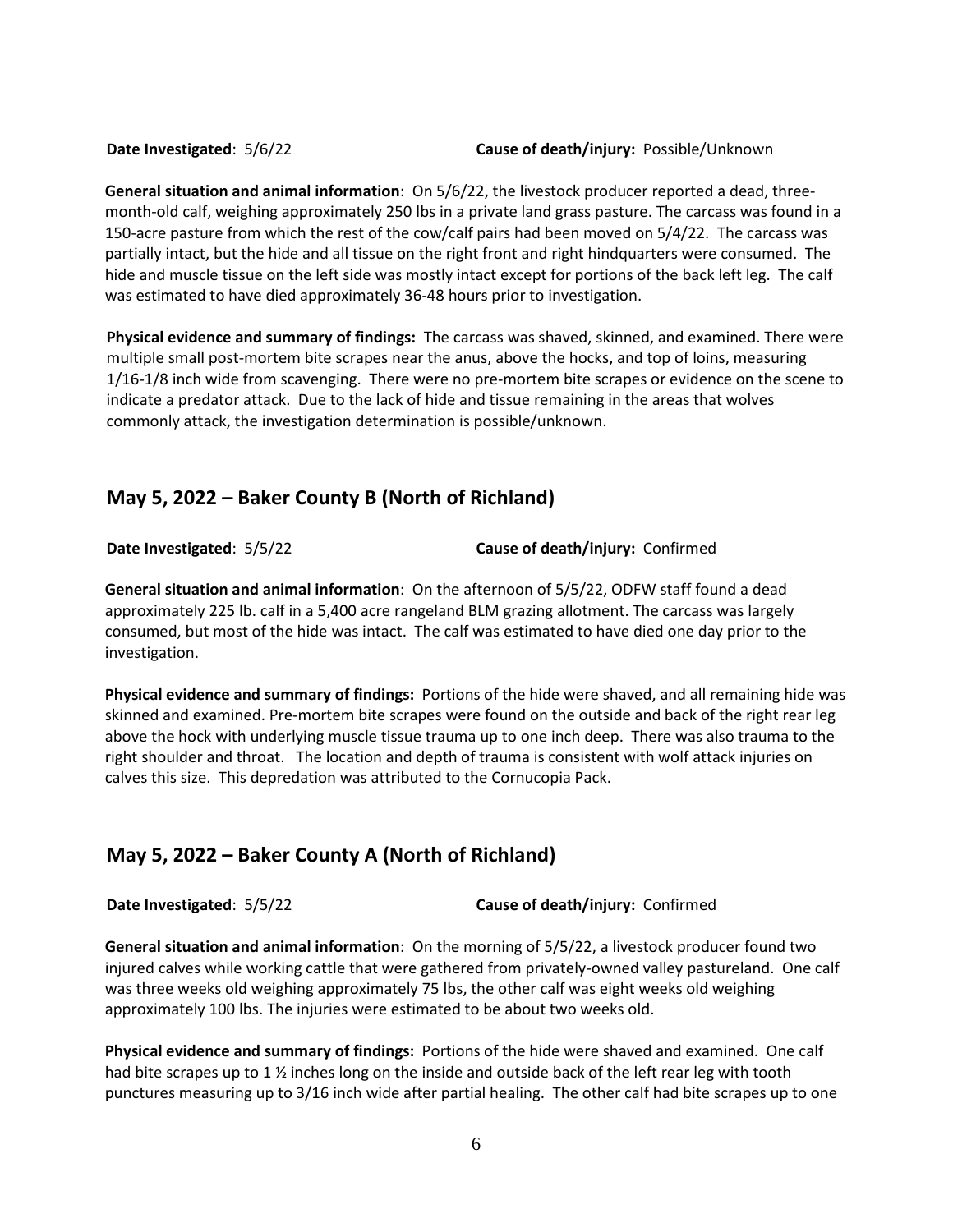**Date Investigated**: 5/6/22 **Cause of death/injury:** Possible/Unknown

**General situation and animal information**: On 5/6/22, the livestock producer reported a dead, threemonth-old calf, weighing approximately 250 lbs in a private land grass pasture. The carcass was found in a 150-acre pasture from which the rest of the cow/calf pairs had been moved on 5/4/22. The carcass was partially intact, but the hide and all tissue on the right front and right hindquarters were consumed. The hide and muscle tissue on the left side was mostly intact except for portions of the back left leg. The calf was estimated to have died approximately 36-48 hours prior to investigation.

**Physical evidence and summary of findings:** The carcass was shaved, skinned, and examined. There were multiple small post-mortem bite scrapes near the anus, above the hocks, and top of loins, measuring 1/16-1/8 inch wide from scavenging. There were no pre-mortem bite scrapes or evidence on the scene to indicate a predator attack. Due to the lack of hide and tissue remaining in the areas that wolves commonly attack, the investigation determination is possible/unknown.

## **May 5, 2022 – Baker County B (North of Richland)**

**Date Investigated**: 5/5/22 **Cause of death/injury:** Confirmed

**General situation and animal information**: On the afternoon of 5/5/22, ODFW staff found a dead approximately 225 lb. calf in a 5,400 acre rangeland BLM grazing allotment. The carcass was largely consumed, but most of the hide was intact. The calf was estimated to have died one day prior to the investigation.

**Physical evidence and summary of findings:** Portions of the hide were shaved, and all remaining hide was skinned and examined. Pre-mortem bite scrapes were found on the outside and back of the right rear leg above the hock with underlying muscle tissue trauma up to one inch deep. There was also trauma to the right shoulder and throat. The location and depth of trauma is consistent with wolf attack injuries on calves this size. This depredation was attributed to the Cornucopia Pack.

## **May 5, 2022 – Baker County A (North of Richland)**

**Date Investigated**: 5/5/22 **Cause of death/injury:** Confirmed

**General situation and animal information**: On the morning of 5/5/22, a livestock producer found two injured calves while working cattle that were gathered from privately-owned valley pastureland. One calf was three weeks old weighing approximately 75 lbs, the other calf was eight weeks old weighing approximately 100 lbs. The injuries were estimated to be about two weeks old.

**Physical evidence and summary of findings:** Portions of the hide were shaved and examined. One calf had bite scrapes up to 1  $\frac{1}{2}$  inches long on the inside and outside back of the left rear leg with tooth punctures measuring up to 3/16 inch wide after partial healing. The other calf had bite scrapes up to one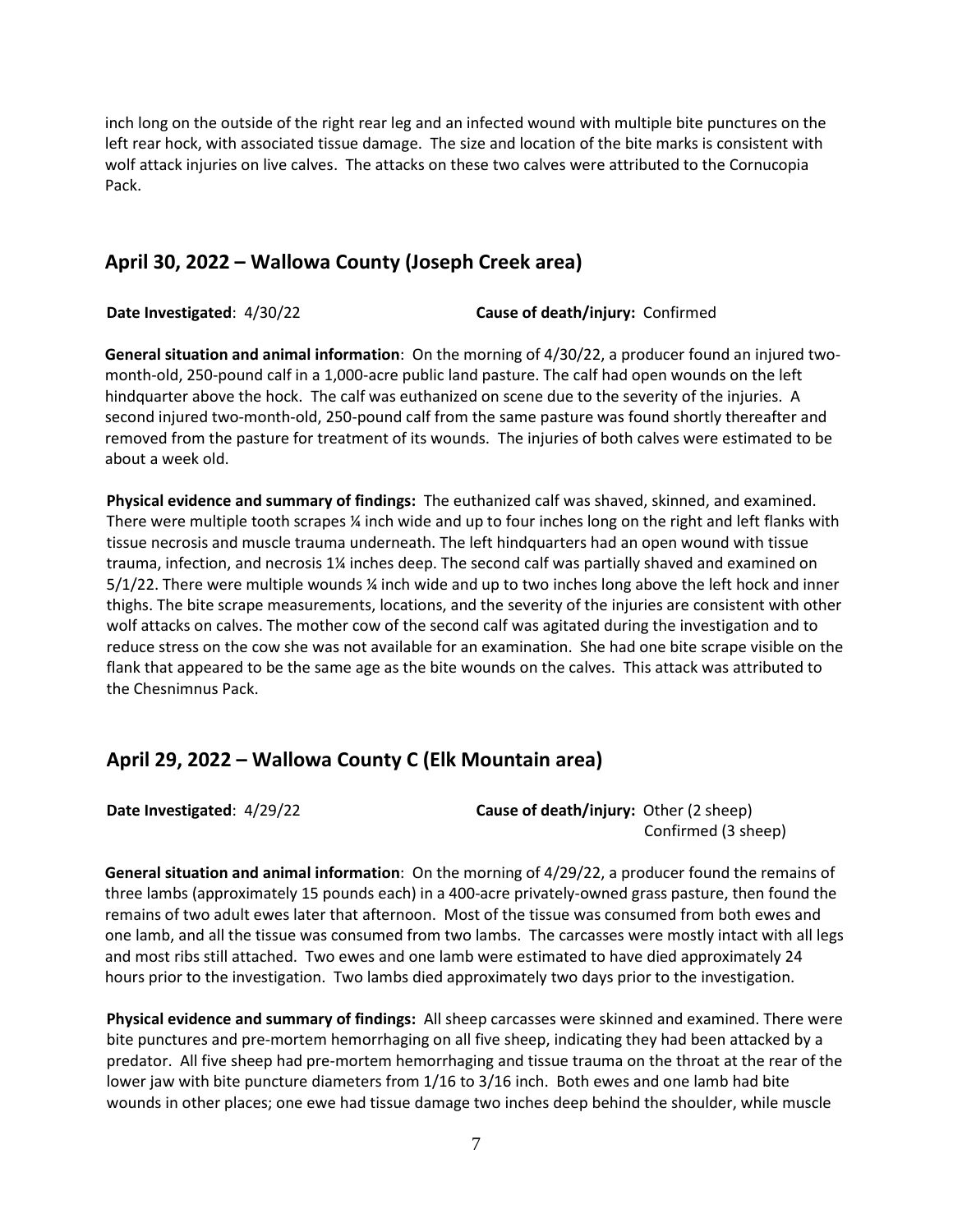inch long on the outside of the right rear leg and an infected wound with multiple bite punctures on the left rear hock, with associated tissue damage. The size and location of the bite marks is consistent with wolf attack injuries on live calves. The attacks on these two calves were attributed to the Cornucopia Pack.

#### **April 30, 2022 – Wallowa County (Joseph Creek area)**

**Date Investigated**: 4/30/22 **Cause of death/injury:** Confirmed

**General situation and animal information**: On the morning of 4/30/22, a producer found an injured twomonth-old, 250-pound calf in a 1,000-acre public land pasture. The calf had open wounds on the left hindquarter above the hock. The calf was euthanized on scene due to the severity of the injuries. A second injured two-month-old, 250-pound calf from the same pasture was found shortly thereafter and removed from the pasture for treatment of its wounds. The injuries of both calves were estimated to be about a week old.

**Physical evidence and summary of findings:** The euthanized calf was shaved, skinned, and examined. There were multiple tooth scrapes ¼ inch wide and up to four inches long on the right and left flanks with tissue necrosis and muscle trauma underneath. The left hindquarters had an open wound with tissue trauma, infection, and necrosis 1¼ inches deep. The second calf was partially shaved and examined on 5/1/22. There were multiple wounds ¼ inch wide and up to two inches long above the left hock and inner thighs. The bite scrape measurements, locations, and the severity of the injuries are consistent with other wolf attacks on calves. The mother cow of the second calf was agitated during the investigation and to reduce stress on the cow she was not available for an examination. She had one bite scrape visible on the flank that appeared to be the same age as the bite wounds on the calves. This attack was attributed to the Chesnimnus Pack.

## **April 29, 2022 – Wallowa County C (Elk Mountain area)**

**Date Investigated:**  $4/29/22$  **Cause of death/injury:** Other (2 sheep) Confirmed (3 sheep)

**General situation and animal information**: On the morning of 4/29/22, a producer found the remains of three lambs (approximately 15 pounds each) in a 400-acre privately-owned grass pasture, then found the remains of two adult ewes later that afternoon. Most of the tissue was consumed from both ewes and one lamb, and all the tissue was consumed from two lambs. The carcasses were mostly intact with all legs and most ribs still attached. Two ewes and one lamb were estimated to have died approximately 24 hours prior to the investigation. Two lambs died approximately two days prior to the investigation.

**Physical evidence and summary of findings:** All sheep carcasses were skinned and examined. There were bite punctures and pre-mortem hemorrhaging on all five sheep, indicating they had been attacked by a predator. All five sheep had pre-mortem hemorrhaging and tissue trauma on the throat at the rear of the lower jaw with bite puncture diameters from 1/16 to 3/16 inch. Both ewes and one lamb had bite wounds in other places; one ewe had tissue damage two inches deep behind the shoulder, while muscle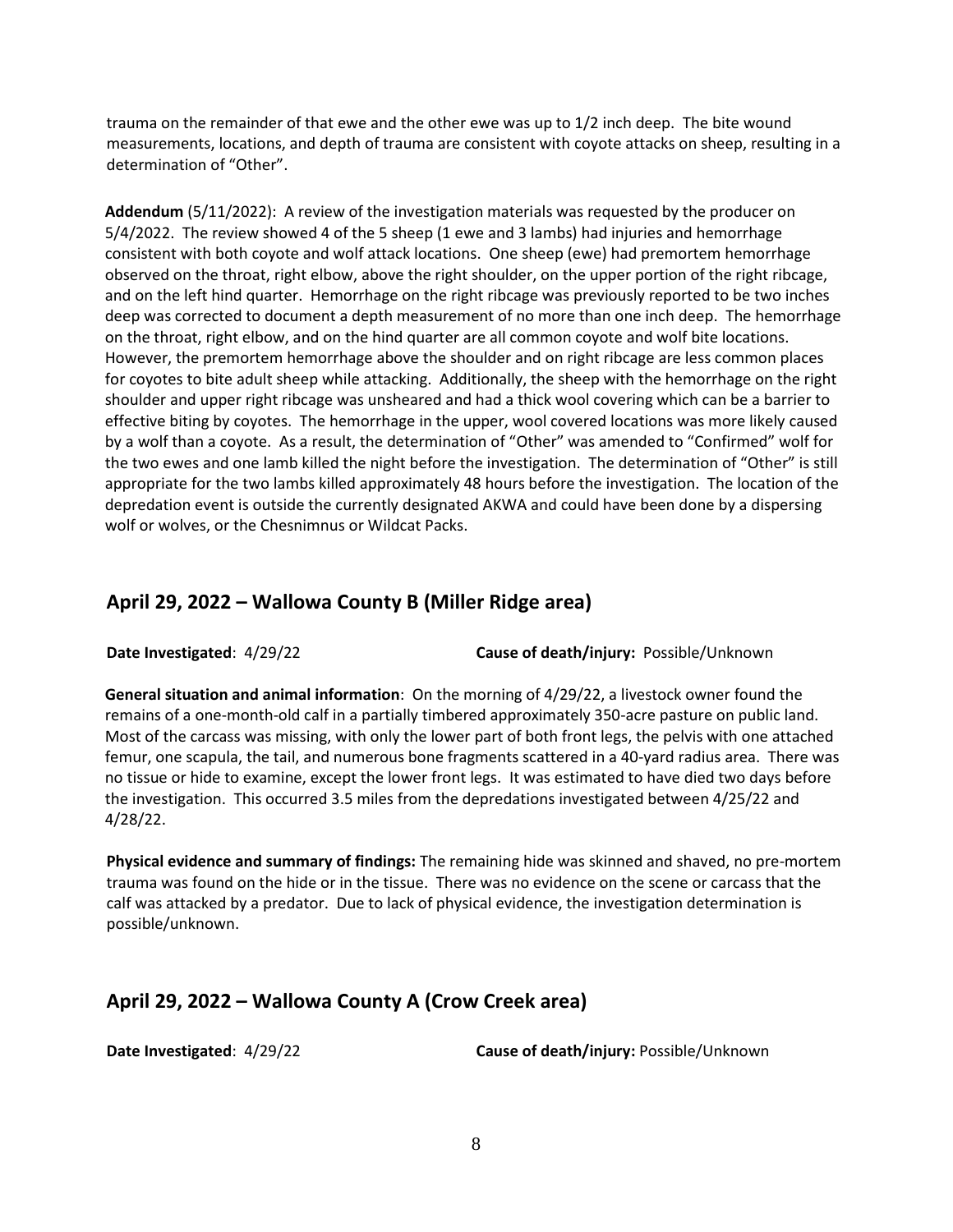trauma on the remainder of that ewe and the other ewe was up to 1/2 inch deep. The bite wound measurements, locations, and depth of trauma are consistent with coyote attacks on sheep, resulting in a determination of "Other".

**Addendum** (5/11/2022): A review of the investigation materials was requested by the producer on 5/4/2022. The review showed 4 of the 5 sheep (1 ewe and 3 lambs) had injuries and hemorrhage consistent with both coyote and wolf attack locations. One sheep (ewe) had premortem hemorrhage observed on the throat, right elbow, above the right shoulder, on the upper portion of the right ribcage, and on the left hind quarter. Hemorrhage on the right ribcage was previously reported to be two inches deep was corrected to document a depth measurement of no more than one inch deep. The hemorrhage on the throat, right elbow, and on the hind quarter are all common coyote and wolf bite locations. However, the premortem hemorrhage above the shoulder and on right ribcage are less common places for coyotes to bite adult sheep while attacking. Additionally, the sheep with the hemorrhage on the right shoulder and upper right ribcage was unsheared and had a thick wool covering which can be a barrier to effective biting by coyotes. The hemorrhage in the upper, wool covered locations was more likely caused by a wolf than a coyote. As a result, the determination of "Other" was amended to "Confirmed" wolf for the two ewes and one lamb killed the night before the investigation. The determination of "Other" is still appropriate for the two lambs killed approximately 48 hours before the investigation. The location of the depredation event is outside the currently designated AKWA and could have been done by a dispersing wolf or wolves, or the Chesnimnus or Wildcat Packs.

#### **April 29, 2022 – Wallowa County B (Miller Ridge area)**

**Date Investigated**: 4/29/22 **Cause of death/injury:** Possible/Unknown

**General situation and animal information**: On the morning of 4/29/22, a livestock owner found the remains of a one-month-old calf in a partially timbered approximately 350-acre pasture on public land. Most of the carcass was missing, with only the lower part of both front legs, the pelvis with one attached femur, one scapula, the tail, and numerous bone fragments scattered in a 40-yard radius area. There was no tissue or hide to examine, except the lower front legs. It was estimated to have died two days before the investigation. This occurred 3.5 miles from the depredations investigated between 4/25/22 and 4/28/22.

**Physical evidence and summary of findings:** The remaining hide was skinned and shaved, no pre-mortem trauma was found on the hide or in the tissue. There was no evidence on the scene or carcass that the calf was attacked by a predator. Due to lack of physical evidence, the investigation determination is possible/unknown.

#### **April 29, 2022 – Wallowa County A (Crow Creek area)**

**Date Investigated**: 4/29/22 **Cause of death/injury:** Possible/Unknown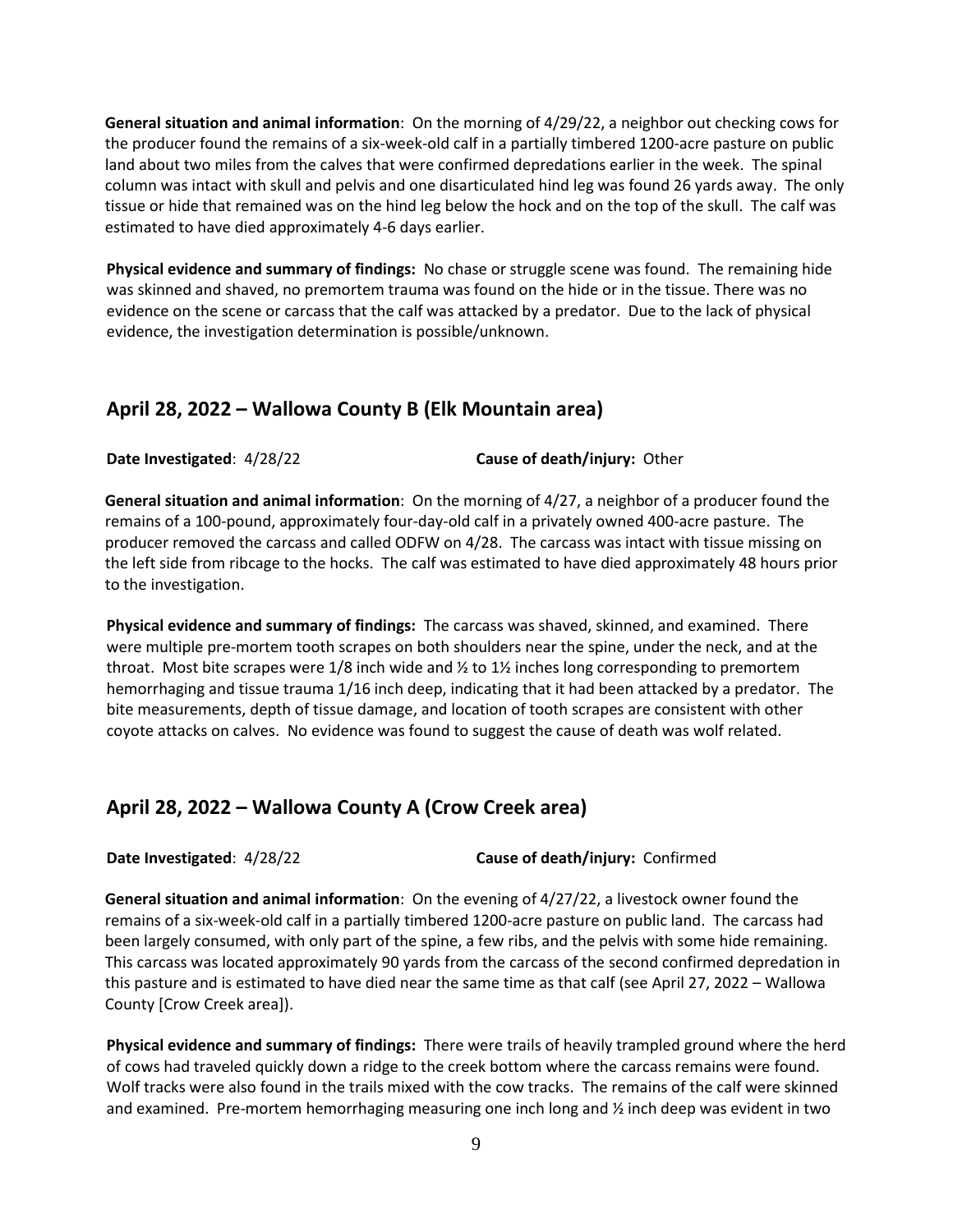**General situation and animal information**: On the morning of 4/29/22, a neighbor out checking cows for the producer found the remains of a six-week-old calf in a partially timbered 1200-acre pasture on public land about two miles from the calves that were confirmed depredations earlier in the week. The spinal column was intact with skull and pelvis and one disarticulated hind leg was found 26 yards away. The only tissue or hide that remained was on the hind leg below the hock and on the top of the skull. The calf was estimated to have died approximately 4-6 days earlier.

**Physical evidence and summary of findings:** No chase or struggle scene was found. The remaining hide was skinned and shaved, no premortem trauma was found on the hide or in the tissue. There was no evidence on the scene or carcass that the calf was attacked by a predator. Due to the lack of physical evidence, the investigation determination is possible/unknown.

#### **April 28, 2022 – Wallowa County B (Elk Mountain area)**

**Date Investigated**: 4/28/22 **Cause of death/injury:** Other

**General situation and animal information**: On the morning of 4/27, a neighbor of a producer found the remains of a 100-pound, approximately four-day-old calf in a privately owned 400-acre pasture. The producer removed the carcass and called ODFW on 4/28. The carcass was intact with tissue missing on the left side from ribcage to the hocks. The calf was estimated to have died approximately 48 hours prior to the investigation.

**Physical evidence and summary of findings:** The carcass was shaved, skinned, and examined. There were multiple pre-mortem tooth scrapes on both shoulders near the spine, under the neck, and at the throat. Most bite scrapes were 1/8 inch wide and  $\frac{1}{2}$  to 1 $\frac{1}{2}$  inches long corresponding to premortem hemorrhaging and tissue trauma 1/16 inch deep, indicating that it had been attacked by a predator. The bite measurements, depth of tissue damage, and location of tooth scrapes are consistent with other coyote attacks on calves. No evidence was found to suggest the cause of death was wolf related.

#### **April 28, 2022 – Wallowa County A (Crow Creek area)**

**Date Investigated**: 4/28/22 **Cause of death/injury:** Confirmed

**General situation and animal information**: On the evening of 4/27/22, a livestock owner found the remains of a six-week-old calf in a partially timbered 1200-acre pasture on public land. The carcass had been largely consumed, with only part of the spine, a few ribs, and the pelvis with some hide remaining. This carcass was located approximately 90 yards from the carcass of the second confirmed depredation in this pasture and is estimated to have died near the same time as that calf (see April 27, 2022 – Wallowa County [Crow Creek area]).

**Physical evidence and summary of findings:** There were trails of heavily trampled ground where the herd of cows had traveled quickly down a ridge to the creek bottom where the carcass remains were found. Wolf tracks were also found in the trails mixed with the cow tracks. The remains of the calf were skinned and examined. Pre-mortem hemorrhaging measuring one inch long and ½ inch deep was evident in two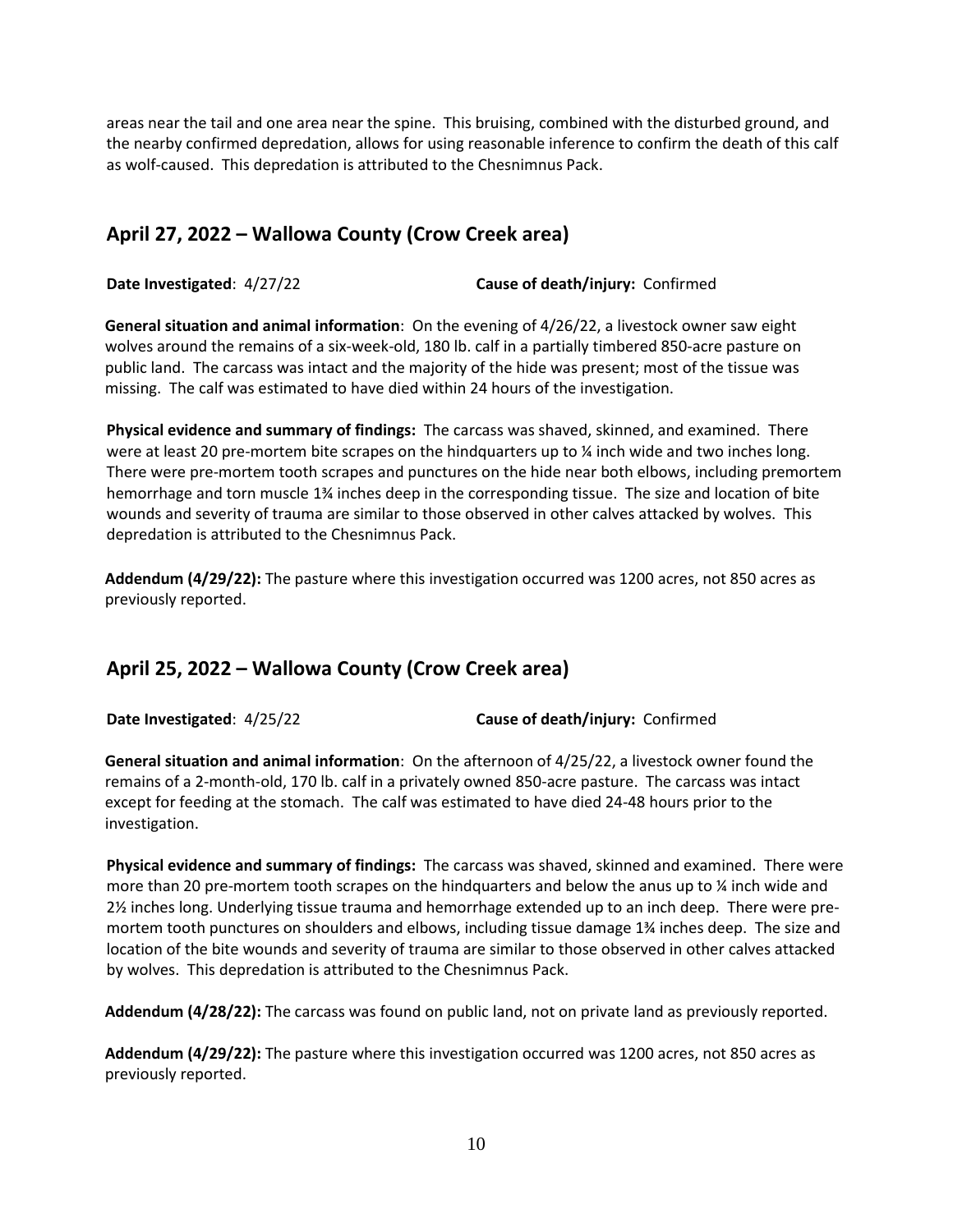areas near the tail and one area near the spine. This bruising, combined with the disturbed ground, and the nearby confirmed depredation, allows for using reasonable inference to confirm the death of this calf as wolf-caused. This depredation is attributed to the Chesnimnus Pack.

# **April 27, 2022 – Wallowa County (Crow Creek area)**

**Date Investigated**: 4/27/22 **Cause of death/injury:** Confirmed

**General situation and animal information**: On the evening of 4/26/22, a livestock owner saw eight wolves around the remains of a six-week-old, 180 lb. calf in a partially timbered 850-acre pasture on public land. The carcass was intact and the majority of the hide was present; most of the tissue was missing. The calf was estimated to have died within 24 hours of the investigation.

**Physical evidence and summary of findings:** The carcass was shaved, skinned, and examined. There were at least 20 pre-mortem bite scrapes on the hindquarters up to  $\chi$  inch wide and two inches long. There were pre-mortem tooth scrapes and punctures on the hide near both elbows, including premortem hemorrhage and torn muscle 1¾ inches deep in the corresponding tissue. The size and location of bite wounds and severity of trauma are similar to those observed in other calves attacked by wolves. This depredation is attributed to the Chesnimnus Pack.

**Addendum (4/29/22):** The pasture where this investigation occurred was 1200 acres, not 850 acres as previously reported.

## **April 25, 2022 – Wallowa County (Crow Creek area)**

**Date Investigated**: 4/25/22 **Cause of death/injury:** Confirmed

**General situation and animal information**: On the afternoon of 4/25/22, a livestock owner found the remains of a 2-month-old, 170 lb. calf in a privately owned 850-acre pasture. The carcass was intact except for feeding at the stomach. The calf was estimated to have died 24-48 hours prior to the investigation.

**Physical evidence and summary of findings:** The carcass was shaved, skinned and examined. There were more than 20 pre-mortem tooth scrapes on the hindquarters and below the anus up to % inch wide and 2½ inches long. Underlying tissue trauma and hemorrhage extended up to an inch deep. There were premortem tooth punctures on shoulders and elbows, including tissue damage 1¾ inches deep. The size and location of the bite wounds and severity of trauma are similar to those observed in other calves attacked by wolves. This depredation is attributed to the Chesnimnus Pack.

**Addendum (4/28/22):** The carcass was found on public land, not on private land as previously reported.

**Addendum (4/29/22):** The pasture where this investigation occurred was 1200 acres, not 850 acres as previously reported.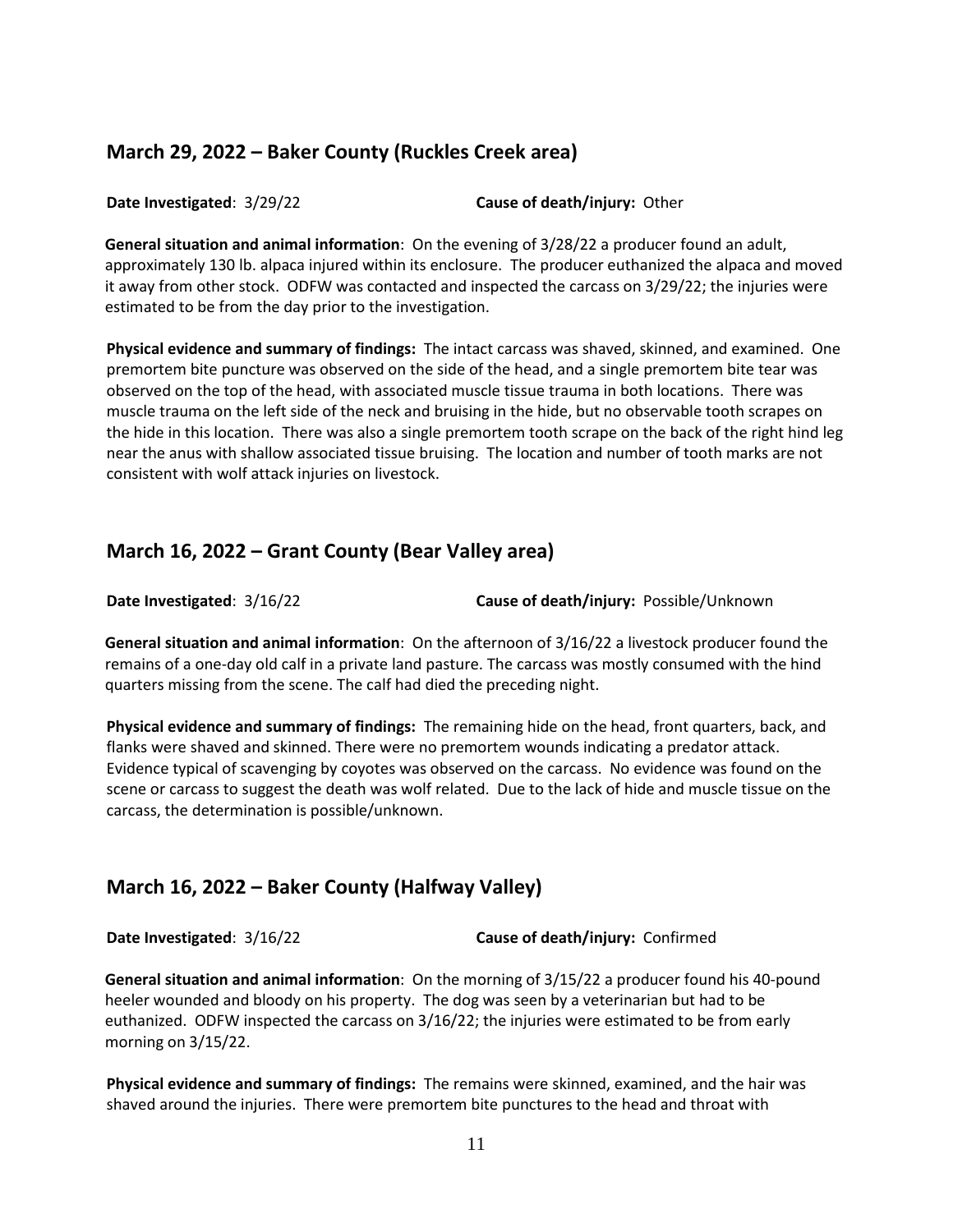#### **March 29, 2022 – Baker County (Ruckles Creek area)**

**Date Investigated**: 3/29/22 **Cause of death/injury:** Other

**General situation and animal information**: On the evening of 3/28/22 a producer found an adult, approximately 130 lb. alpaca injured within its enclosure. The producer euthanized the alpaca and moved it away from other stock. ODFW was contacted and inspected the carcass on 3/29/22; the injuries were estimated to be from the day prior to the investigation.

**Physical evidence and summary of findings:** The intact carcass was shaved, skinned, and examined. One premortem bite puncture was observed on the side of the head, and a single premortem bite tear was observed on the top of the head, with associated muscle tissue trauma in both locations. There was muscle trauma on the left side of the neck and bruising in the hide, but no observable tooth scrapes on the hide in this location. There was also a single premortem tooth scrape on the back of the right hind leg near the anus with shallow associated tissue bruising. The location and number of tooth marks are not consistent with wolf attack injuries on livestock.

#### **March 16, 2022 – Grant County (Bear Valley area)**

**Date Investigated**: 3/16/22 **Cause of death/injury:** Possible/Unknown

**General situation and animal information**: On the afternoon of 3/16/22 a livestock producer found the remains of a one-day old calf in a private land pasture. The carcass was mostly consumed with the hind quarters missing from the scene. The calf had died the preceding night.

**Physical evidence and summary of findings:** The remaining hide on the head, front quarters, back, and flanks were shaved and skinned. There were no premortem wounds indicating a predator attack. Evidence typical of scavenging by coyotes was observed on the carcass. No evidence was found on the scene or carcass to suggest the death was wolf related. Due to the lack of hide and muscle tissue on the carcass, the determination is possible/unknown.

## **March 16, 2022 – Baker County (Halfway Valley)**

**Date Investigated**: 3/16/22 **Cause of death/injury:** Confirmed

**General situation and animal information**: On the morning of 3/15/22 a producer found his 40-pound heeler wounded and bloody on his property. The dog was seen by a veterinarian but had to be euthanized. ODFW inspected the carcass on 3/16/22; the injuries were estimated to be from early morning on 3/15/22.

**Physical evidence and summary of findings:** The remains were skinned, examined, and the hair was shaved around the injuries. There were premortem bite punctures to the head and throat with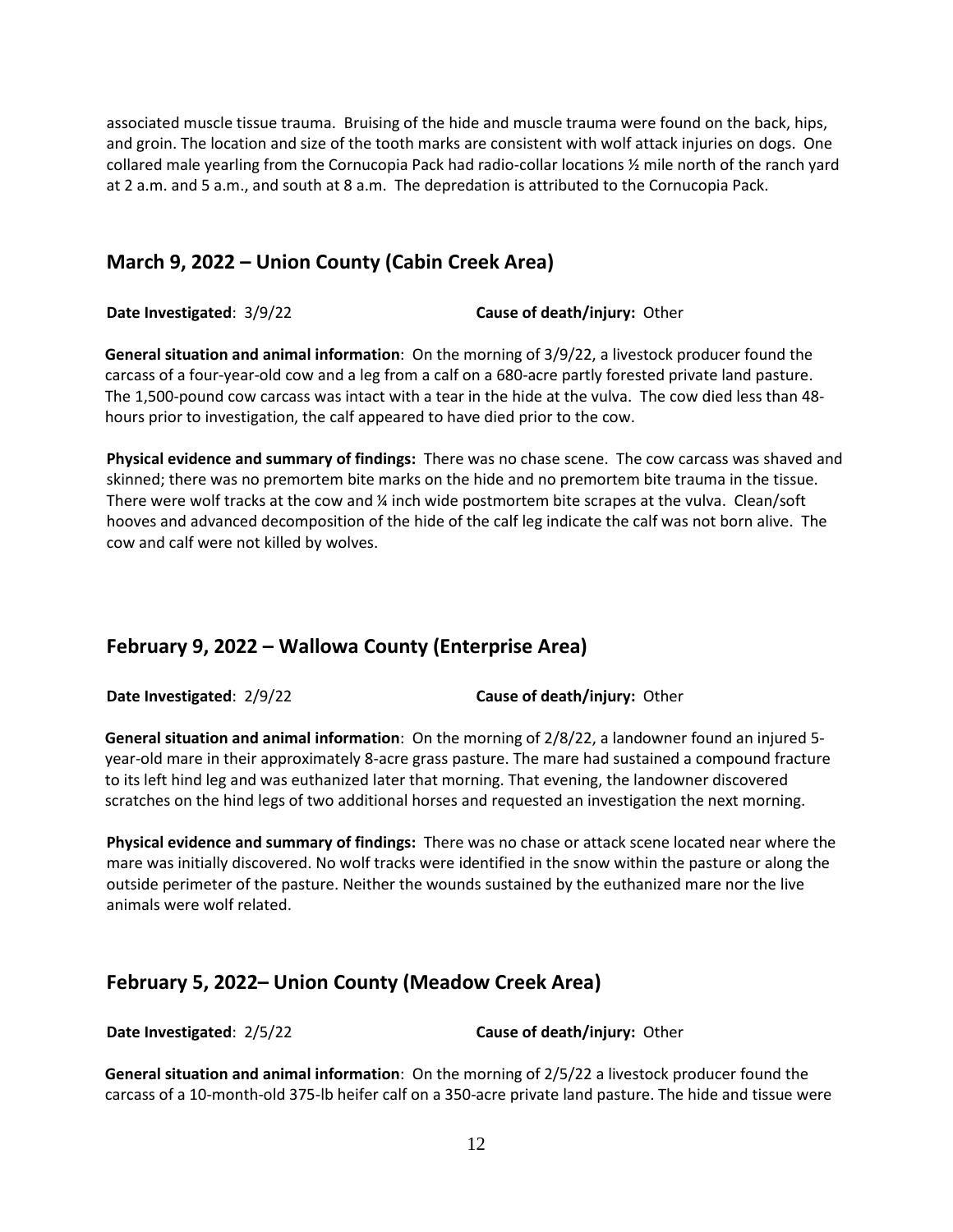associated muscle tissue trauma. Bruising of the hide and muscle trauma were found on the back, hips, and groin. The location and size of the tooth marks are consistent with wolf attack injuries on dogs. One collared male yearling from the Cornucopia Pack had radio-collar locations ½ mile north of the ranch yard at 2 a.m. and 5 a.m., and south at 8 a.m. The depredation is attributed to the Cornucopia Pack.

### **March 9, 2022 – Union County (Cabin Creek Area)**

**Date Investigated**: 3/9/22 **Cause of death/injury:** Other

**General situation and animal information**: On the morning of 3/9/22, a livestock producer found the carcass of a four-year-old cow and a leg from a calf on a 680-acre partly forested private land pasture. The 1,500-pound cow carcass was intact with a tear in the hide at the vulva. The cow died less than 48 hours prior to investigation, the calf appeared to have died prior to the cow.

**Physical evidence and summary of findings:** There was no chase scene. The cow carcass was shaved and skinned; there was no premortem bite marks on the hide and no premortem bite trauma in the tissue. There were wolf tracks at the cow and ¼ inch wide postmortem bite scrapes at the vulva. Clean/soft hooves and advanced decomposition of the hide of the calf leg indicate the calf was not born alive. The cow and calf were not killed by wolves.

# **February 9, 2022 – Wallowa County (Enterprise Area)**

**Date Investigated**: 2/9/22 **Cause of death/injury:** Other

**General situation and animal information**: On the morning of 2/8/22, a landowner found an injured 5 year-old mare in their approximately 8-acre grass pasture. The mare had sustained a compound fracture to its left hind leg and was euthanized later that morning. That evening, the landowner discovered scratches on the hind legs of two additional horses and requested an investigation the next morning.

**Physical evidence and summary of findings:** There was no chase or attack scene located near where the mare was initially discovered. No wolf tracks were identified in the snow within the pasture or along the outside perimeter of the pasture. Neither the wounds sustained by the euthanized mare nor the live animals were wolf related.

## **February 5, 2022– Union County (Meadow Creek Area)**

**Date Investigated**: 2/5/22 **Cause of death/injury:** Other

**General situation and animal information**: On the morning of 2/5/22 a livestock producer found the carcass of a 10-month-old 375-lb heifer calf on a 350-acre private land pasture. The hide and tissue were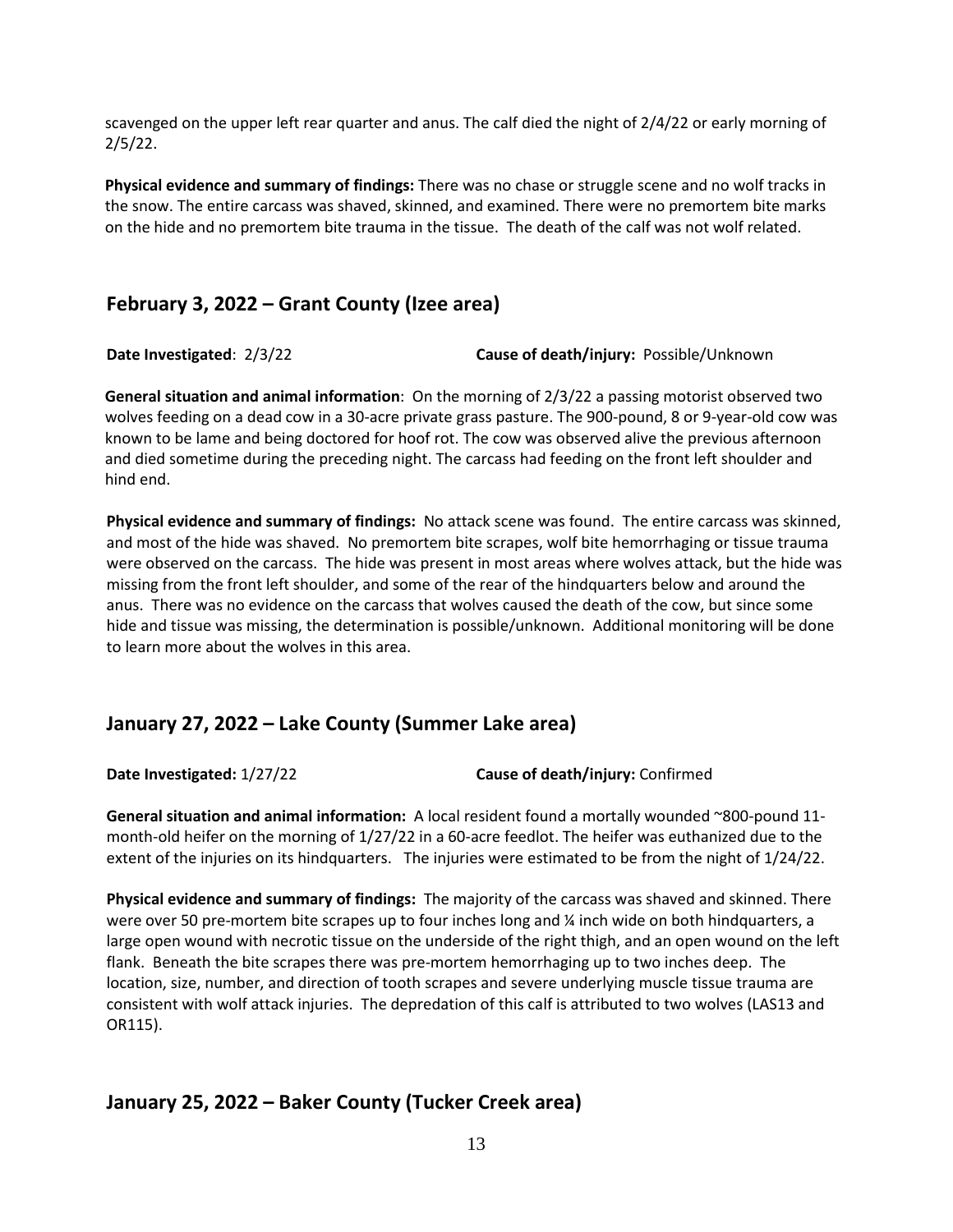scavenged on the upper left rear quarter and anus. The calf died the night of 2/4/22 or early morning of 2/5/22.

**Physical evidence and summary of findings:** There was no chase or struggle scene and no wolf tracks in the snow. The entire carcass was shaved, skinned, and examined. There were no premortem bite marks on the hide and no premortem bite trauma in the tissue. The death of the calf was not wolf related.

#### **February 3, 2022 – Grant County (Izee area)**

**Date Investigated**: 2/3/22 **Cause of death/injury:** Possible/Unknown

**General situation and animal information**: On the morning of 2/3/22 a passing motorist observed two wolves feeding on a dead cow in a 30-acre private grass pasture. The 900-pound, 8 or 9-year-old cow was known to be lame and being doctored for hoof rot. The cow was observed alive the previous afternoon and died sometime during the preceding night. The carcass had feeding on the front left shoulder and hind end.

**Physical evidence and summary of findings:** No attack scene was found. The entire carcass was skinned, and most of the hide was shaved. No premortem bite scrapes, wolf bite hemorrhaging or tissue trauma were observed on the carcass. The hide was present in most areas where wolves attack, but the hide was missing from the front left shoulder, and some of the rear of the hindquarters below and around the anus. There was no evidence on the carcass that wolves caused the death of the cow, but since some hide and tissue was missing, the determination is possible/unknown. Additional monitoring will be done to learn more about the wolves in this area.

#### **January 27, 2022 – Lake County (Summer Lake area)**

**Date Investigated:** 1/27/22 **Cause of death/injury:** Confirmed

**General situation and animal information:** A local resident found a mortally wounded ~800-pound 11 month-old heifer on the morning of 1/27/22 in a 60-acre feedlot. The heifer was euthanized due to the extent of the injuries on its hindquarters. The injuries were estimated to be from the night of 1/24/22.

**Physical evidence and summary of findings:** The majority of the carcass was shaved and skinned. There were over 50 pre-mortem bite scrapes up to four inches long and ¼ inch wide on both hindquarters, a large open wound with necrotic tissue on the underside of the right thigh, and an open wound on the left flank. Beneath the bite scrapes there was pre-mortem hemorrhaging up to two inches deep. The location, size, number, and direction of tooth scrapes and severe underlying muscle tissue trauma are consistent with wolf attack injuries. The depredation of this calf is attributed to two wolves (LAS13 and OR115).

## **January 25, 2022 – Baker County (Tucker Creek area)**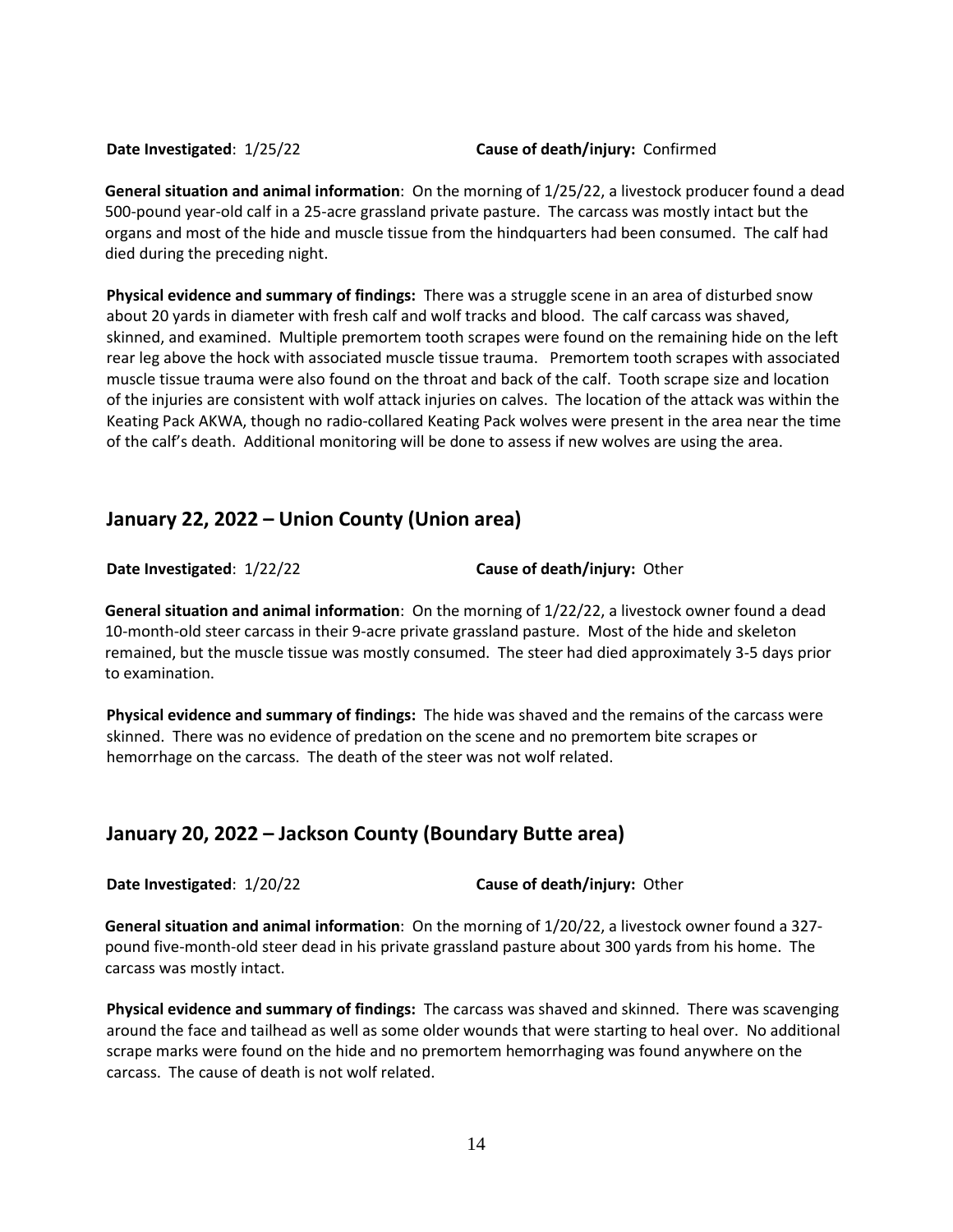#### **Date Investigated**: 1/25/22 **Cause of death/injury:** Confirmed

**General situation and animal information**: On the morning of 1/25/22, a livestock producer found a dead 500-pound year-old calf in a 25-acre grassland private pasture. The carcass was mostly intact but the organs and most of the hide and muscle tissue from the hindquarters had been consumed. The calf had died during the preceding night.

**Physical evidence and summary of findings:** There was a struggle scene in an area of disturbed snow about 20 yards in diameter with fresh calf and wolf tracks and blood. The calf carcass was shaved, skinned, and examined. Multiple premortem tooth scrapes were found on the remaining hide on the left rear leg above the hock with associated muscle tissue trauma. Premortem tooth scrapes with associated muscle tissue trauma were also found on the throat and back of the calf. Tooth scrape size and location of the injuries are consistent with wolf attack injuries on calves. The location of the attack was within the Keating Pack AKWA, though no radio-collared Keating Pack wolves were present in the area near the time of the calf's death. Additional monitoring will be done to assess if new wolves are using the area.

#### **January 22, 2022 – Union County (Union area)**

**Date Investigated**: 1/22/22 **Cause of death/injury:** Other

**General situation and animal information**: On the morning of 1/22/22, a livestock owner found a dead 10-month-old steer carcass in their 9-acre private grassland pasture. Most of the hide and skeleton remained, but the muscle tissue was mostly consumed. The steer had died approximately 3-5 days prior to examination.

**Physical evidence and summary of findings:** The hide was shaved and the remains of the carcass were skinned. There was no evidence of predation on the scene and no premortem bite scrapes or hemorrhage on the carcass. The death of the steer was not wolf related.

#### **January 20, 2022 – Jackson County (Boundary Butte area)**

**Date Investigated**: 1/20/22 **Cause of death/injury:** Other

**General situation and animal information**: On the morning of 1/20/22, a livestock owner found a 327 pound five-month-old steer dead in his private grassland pasture about 300 yards from his home. The carcass was mostly intact.

**Physical evidence and summary of findings:** The carcass was shaved and skinned. There was scavenging around the face and tailhead as well as some older wounds that were starting to heal over. No additional scrape marks were found on the hide and no premortem hemorrhaging was found anywhere on the carcass. The cause of death is not wolf related.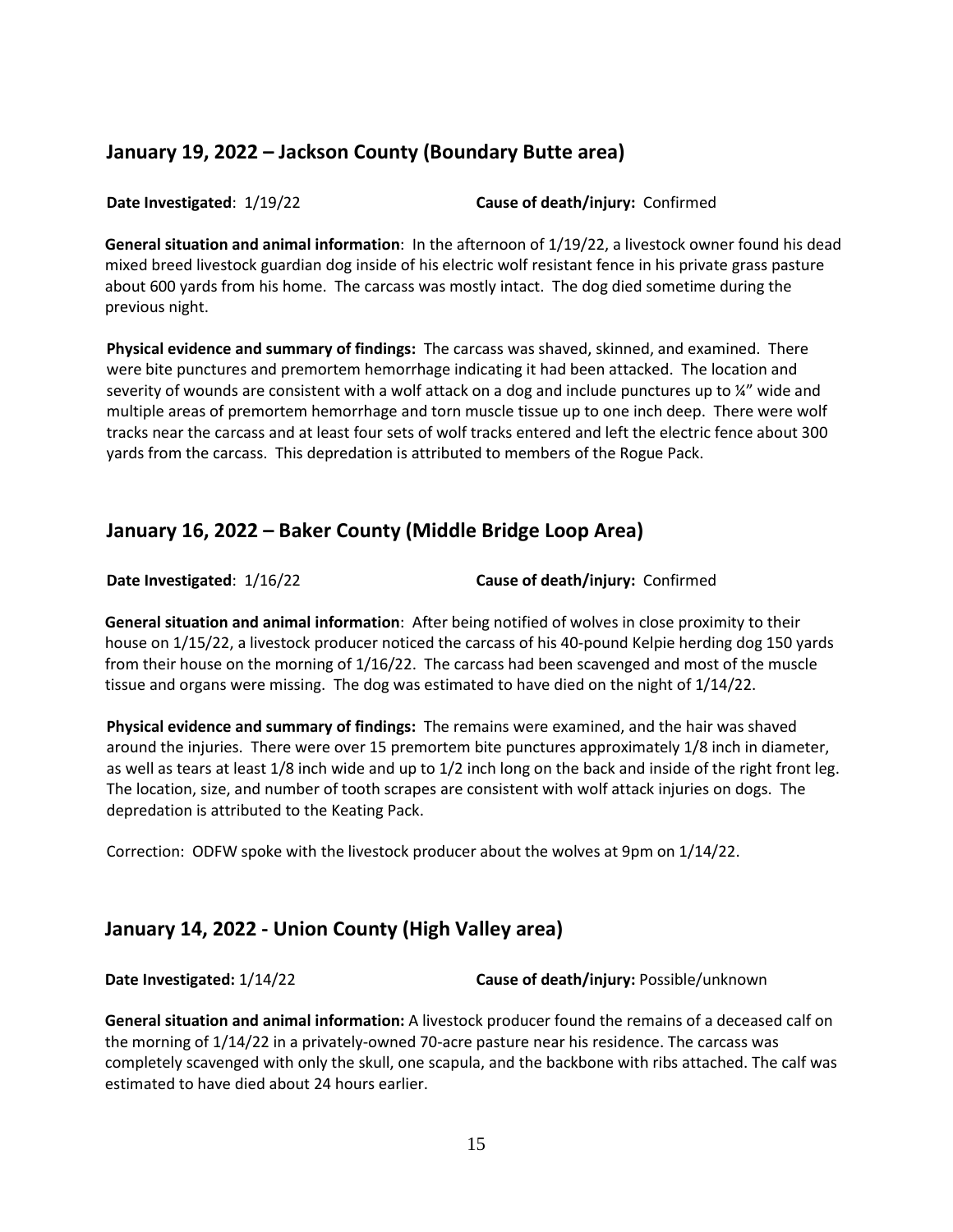## **January 19, 2022 – Jackson County (Boundary Butte area)**

**Date Investigated**: 1/19/22 **Cause of death/injury:** Confirmed

**General situation and animal information**: In the afternoon of 1/19/22, a livestock owner found his dead mixed breed livestock guardian dog inside of his electric wolf resistant fence in his private grass pasture about 600 yards from his home. The carcass was mostly intact. The dog died sometime during the previous night.

**Physical evidence and summary of findings:** The carcass was shaved, skinned, and examined. There were bite punctures and premortem hemorrhage indicating it had been attacked. The location and severity of wounds are consistent with a wolf attack on a dog and include punctures up to ¼" wide and multiple areas of premortem hemorrhage and torn muscle tissue up to one inch deep. There were wolf tracks near the carcass and at least four sets of wolf tracks entered and left the electric fence about 300 yards from the carcass. This depredation is attributed to members of the Rogue Pack.

# **January 16, 2022 – Baker County (Middle Bridge Loop Area)**

**Date Investigated**: 1/16/22 **Cause of death/injury:** Confirmed

**General situation and animal information**: After being notified of wolves in close proximity to their house on 1/15/22, a livestock producer noticed the carcass of his 40-pound Kelpie herding dog 150 yards from their house on the morning of 1/16/22. The carcass had been scavenged and most of the muscle tissue and organs were missing. The dog was estimated to have died on the night of 1/14/22.

**Physical evidence and summary of findings:** The remains were examined, and the hair was shaved around the injuries. There were over 15 premortem bite punctures approximately 1/8 inch in diameter, as well as tears at least 1/8 inch wide and up to 1/2 inch long on the back and inside of the right front leg. The location, size, and number of tooth scrapes are consistent with wolf attack injuries on dogs. The depredation is attributed to the Keating Pack.

Correction: ODFW spoke with the livestock producer about the wolves at 9pm on 1/14/22.

## **January 14, 2022 - Union County (High Valley area)**

**Date Investigated:** 1/14/22 **Cause of death/injury:** Possible/unknown

**General situation and animal information:** A livestock producer found the remains of a deceased calf on the morning of 1/14/22 in a privately-owned 70-acre pasture near his residence. The carcass was completely scavenged with only the skull, one scapula, and the backbone with ribs attached. The calf was estimated to have died about 24 hours earlier.